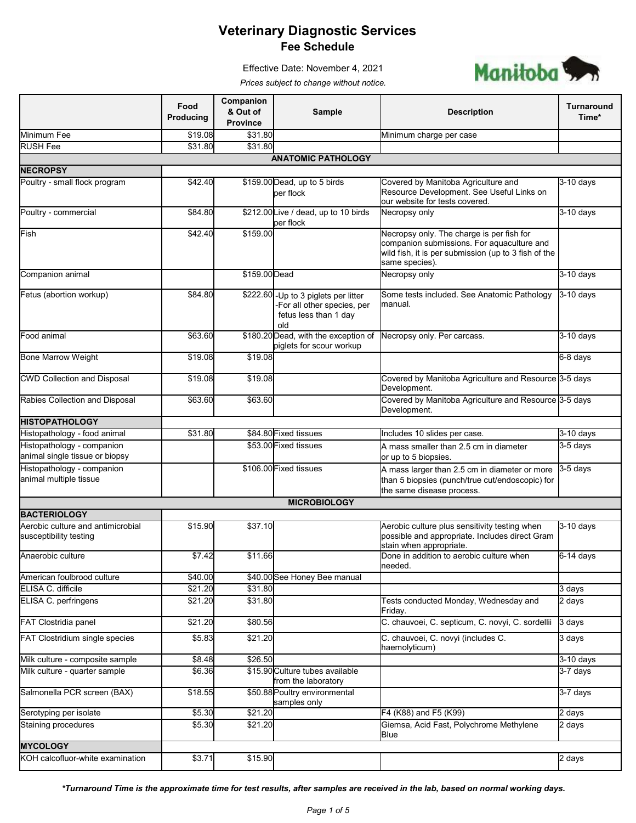Manitoba<sup>5</sup>

Effective Date: November 4, 2021 *Prices subject to change without notice.*

|                                                              | Food<br>Producing | Companion<br>& Out of<br><b>Province</b> | <b>Sample</b>                                                                                       | <b>Description</b>                                                                                                                                                | Turnaround<br>Time* |
|--------------------------------------------------------------|-------------------|------------------------------------------|-----------------------------------------------------------------------------------------------------|-------------------------------------------------------------------------------------------------------------------------------------------------------------------|---------------------|
| Minimum Fee                                                  | \$19.08           | \$31.80                                  |                                                                                                     | Minimum charge per case                                                                                                                                           |                     |
| <b>RUSH Fee</b>                                              | \$31.80           | \$31.80                                  |                                                                                                     |                                                                                                                                                                   |                     |
|                                                              |                   |                                          | <b>ANATOMIC PATHOLOGY</b>                                                                           |                                                                                                                                                                   |                     |
| <b>NECROPSY</b>                                              |                   |                                          |                                                                                                     |                                                                                                                                                                   |                     |
| Poultry - small flock program                                | \$42.40           |                                          | \$159.00 Dead, up to 5 birds<br>per flock                                                           | Covered by Manitoba Agriculture and<br>Resource Development. See Useful Links on<br>our website for tests covered.                                                | $3-10$ days         |
| Poultry - commercial                                         | \$84.80           |                                          | \$212.00 Live / dead, up to 10 birds<br>per flock                                                   | Necropsy only                                                                                                                                                     | $3-10$ days         |
| Fish                                                         | \$42.40           | \$159.00                                 |                                                                                                     | Necropsy only. The charge is per fish for<br>companion submissions. For aquaculture and<br>wild fish, it is per submission (up to 3 fish of the<br>same species). |                     |
| Companion animal                                             |                   | \$159.00 Dead                            |                                                                                                     | Necropsy only                                                                                                                                                     | 3-10 days           |
| Fetus (abortion workup)                                      | \$84.80           |                                          | \$222.60 - Up to 3 piglets per litter<br>For all other species, per<br>fetus less than 1 day<br>old | Some tests included. See Anatomic Pathology<br>manual.                                                                                                            | $3-10$ days         |
| Food animal                                                  | \$63.60           |                                          | \$180.20 Dead, with the exception of<br>piglets for scour workup                                    | Necropsy only. Per carcass.                                                                                                                                       | $3-10$ days         |
| <b>Bone Marrow Weight</b>                                    | \$19.08           | \$19.08                                  |                                                                                                     |                                                                                                                                                                   | 6-8 days            |
| <b>CWD Collection and Disposal</b>                           | \$19.08           | \$19.08                                  |                                                                                                     | Covered by Manitoba Agriculture and Resource 3-5 days<br>Development.                                                                                             |                     |
| Rabies Collection and Disposal                               | \$63.60           | \$63.60                                  |                                                                                                     | Covered by Manitoba Agriculture and Resource 3-5 days<br>Development.                                                                                             |                     |
| <b>HISTOPATHOLOGY</b>                                        |                   |                                          |                                                                                                     |                                                                                                                                                                   |                     |
| Histopathology - food animal                                 | \$31.80           |                                          | \$84.80 Fixed tissues                                                                               | Includes 10 slides per case.                                                                                                                                      | 3-10 days           |
| Histopathology - companion<br>animal single tissue or biopsy |                   |                                          | \$53.00 Fixed tissues                                                                               | A mass smaller than 2.5 cm in diameter<br>or up to 5 biopsies.                                                                                                    | 3-5 days            |
| Histopathology - companion<br>animal multiple tissue         |                   |                                          | \$106.00 Fixed tissues                                                                              | A mass larger than 2.5 cm in diameter or more<br>than 5 biopsies (punch/true cut/endoscopic) for<br>the same disease process.                                     | 3-5 days            |
|                                                              |                   |                                          | <b>MICROBIOLOGY</b>                                                                                 |                                                                                                                                                                   |                     |
| <b>BACTERIOLOGY</b>                                          |                   |                                          |                                                                                                     |                                                                                                                                                                   |                     |
| Aerobic culture and antimicrobial<br>susceptibility testing  | \$15.90           | \$37.10                                  |                                                                                                     | Aerobic culture plus sensitivity testing when<br>possible and appropriate. Includes direct Gram<br>stain when appropriate.                                        | $3-10$ days         |
| Anaerobic culture                                            | \$7.42            | \$11.66                                  |                                                                                                     | Done in addition to aerobic culture when<br>needed.                                                                                                               | $6-14$ days         |
| American foulbrood culture                                   | \$40.00           |                                          | \$40.00 See Honey Bee manual                                                                        |                                                                                                                                                                   |                     |
| ELISA C. difficile                                           | \$21.20           | \$31.80                                  |                                                                                                     |                                                                                                                                                                   | 3 days              |
| ELISA C. perfringens                                         | \$21.20           | \$31.80                                  |                                                                                                     | Tests conducted Monday, Wednesday and<br>Friday.                                                                                                                  | 2 days              |
| FAT Clostridia panel                                         | \$21.20           | \$80.56                                  |                                                                                                     | C. chauvoei, C. septicum, C. novyi, C. sordellii                                                                                                                  | 3 days              |
| FAT Clostridium single species                               | \$5.83            | \$21.20                                  |                                                                                                     | C. chauvoei, C. novyi (includes C.<br>haemolyticum)                                                                                                               | 3 days              |
| Milk culture - composite sample                              | \$8.48            | \$26.50                                  |                                                                                                     |                                                                                                                                                                   | 3-10 days           |
| Milk culture - quarter sample                                | \$6.36            |                                          | \$15.90 Culture tubes available<br>from the laboratory                                              |                                                                                                                                                                   | 3-7 days            |
| Salmonella PCR screen (BAX)                                  | \$18.55           |                                          | \$50.88 Poultry environmental<br>samples only                                                       |                                                                                                                                                                   | 3-7 days            |
| Serotyping per isolate                                       | \$5.30            | \$21.20                                  |                                                                                                     | F4 (K88) and F5 (K99)                                                                                                                                             | 2 days              |
| Staining procedures                                          | \$5.30            | \$21.20                                  |                                                                                                     | Giemsa, Acid Fast, Polychrome Methylene<br>Blue                                                                                                                   | 2 days              |
| <b>MYCOLOGY</b>                                              |                   |                                          |                                                                                                     |                                                                                                                                                                   |                     |
| KOH calcofluor-white examination                             | \$3.71            | \$15.90                                  |                                                                                                     |                                                                                                                                                                   | 2 days              |

*\*Turnaround Time is the approximate time for test results, after samples are received in the lab, based on normal working days.*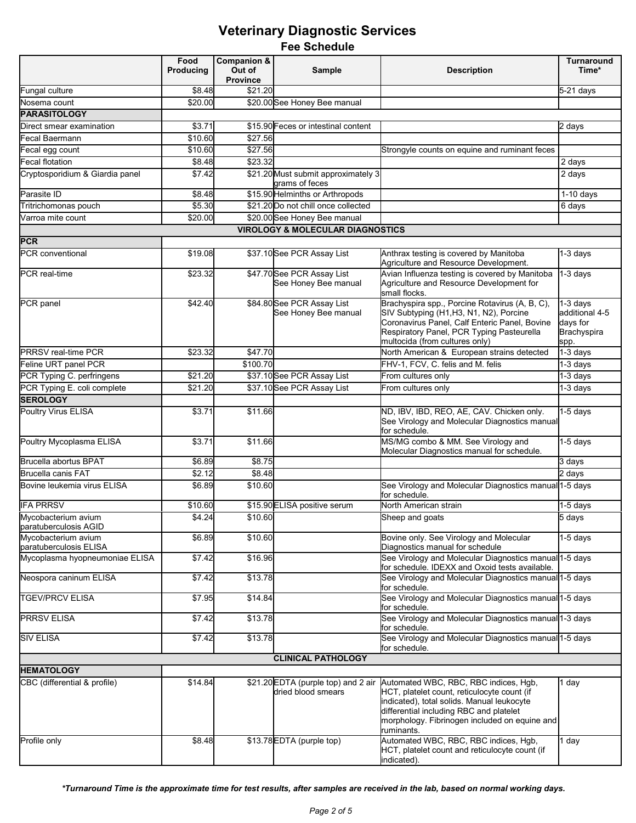|                                               | Food<br><b>Producing</b> | <b>Companion &amp;</b><br>Out of | <b>Sample</b>                                             | <b>Description</b>                                                                                                                                                                                                                           | <b>Turnaround</b><br>Time*                                           |  |
|-----------------------------------------------|--------------------------|----------------------------------|-----------------------------------------------------------|----------------------------------------------------------------------------------------------------------------------------------------------------------------------------------------------------------------------------------------------|----------------------------------------------------------------------|--|
|                                               |                          | <b>Province</b>                  |                                                           |                                                                                                                                                                                                                                              |                                                                      |  |
| Fungal culture                                | \$8.48                   | \$21.20                          |                                                           |                                                                                                                                                                                                                                              | 5-21 days                                                            |  |
| Nosema count                                  | \$20.00                  |                                  | \$20.00 See Honey Bee manual                              |                                                                                                                                                                                                                                              |                                                                      |  |
| <b>PARASITOLOGY</b>                           |                          |                                  |                                                           |                                                                                                                                                                                                                                              |                                                                      |  |
| Direct smear examination                      | \$3.71                   |                                  | \$15.90 Feces or intestinal content                       |                                                                                                                                                                                                                                              | 2 days                                                               |  |
| Fecal Baermann                                | \$10.60                  | \$27.56                          |                                                           |                                                                                                                                                                                                                                              |                                                                      |  |
| Fecal egg count                               | \$10.60                  | \$27.56                          |                                                           | Strongyle counts on equine and ruminant feces                                                                                                                                                                                                |                                                                      |  |
| Fecal flotation                               | \$8.48                   | \$23.32                          |                                                           |                                                                                                                                                                                                                                              | 2 days                                                               |  |
| Cryptosporidium & Giardia panel               | \$7.42                   |                                  | \$21.20 Must submit approximately 3<br>grams of feces     |                                                                                                                                                                                                                                              | 2 days                                                               |  |
| Parasite ID                                   | \$8.48                   |                                  | \$15.90 Helminths or Arthropods                           |                                                                                                                                                                                                                                              | $1-10$ days                                                          |  |
| Tritrichomonas pouch                          | \$5.30                   |                                  | \$21.20 Do not chill once collected                       |                                                                                                                                                                                                                                              | 6 days                                                               |  |
| Varroa mite count                             | \$20.00                  |                                  | \$20.00 See Honey Bee manual                              |                                                                                                                                                                                                                                              |                                                                      |  |
|                                               |                          |                                  | <b>VIROLOGY &amp; MOLECULAR DIAGNOSTICS</b>               |                                                                                                                                                                                                                                              |                                                                      |  |
| <b>PCR</b>                                    |                          |                                  |                                                           |                                                                                                                                                                                                                                              |                                                                      |  |
| PCR conventional                              | \$19.08                  |                                  | \$37.10 See PCR Assay List                                | Anthrax testing is covered by Manitoba<br>Agriculture and Resource Development.                                                                                                                                                              | 1-3 days                                                             |  |
| PCR real-time                                 | \$23.32                  |                                  | \$47.70 See PCR Assay List<br>See Honey Bee manual        | Avian Influenza testing is covered by Manitoba<br>Agriculture and Resource Development for<br>small flocks.                                                                                                                                  | 1-3 days                                                             |  |
| PCR panel                                     | \$42.40                  |                                  | \$84.80 See PCR Assay List<br>See Honey Bee manual        | Brachyspira spp., Porcine Rotavirus (A, B, C),<br>SIV Subtyping (H1,H3, N1, N2), Porcine<br>Coronavirus Panel, Calf Enteric Panel, Bovine<br>Respiratory Panel, PCR Typing Pasteurella<br>multocida (from cultures only)                     | 1-3 days<br>additional 4-5<br>days for<br><b>Brachyspira</b><br>spp. |  |
| <b>PRRSV</b> real-time PCR                    | \$23.32                  | \$47.70                          |                                                           | North American & European strains detected                                                                                                                                                                                                   | $1-3$ days                                                           |  |
| Feline URT panel PCR                          |                          | \$100.70                         |                                                           | FHV-1, FCV, C. felis and M. felis                                                                                                                                                                                                            | 1-3 days                                                             |  |
| PCR Typing C. perfringens                     | \$21.20                  |                                  | \$37.10 See PCR Assay List                                | From cultures only                                                                                                                                                                                                                           | 1-3 days                                                             |  |
| PCR Typing E. coli complete                   | \$21.20                  |                                  | \$37.10 See PCR Assay List                                | From cultures only                                                                                                                                                                                                                           | $1-3$ days                                                           |  |
| <b>SEROLOGY</b>                               |                          |                                  |                                                           |                                                                                                                                                                                                                                              |                                                                      |  |
| Poultry Virus ELISA                           | \$3.71                   | \$11.66                          |                                                           | ND, IBV, IBD, REO, AE, CAV. Chicken only.<br>See Virology and Molecular Diagnostics manual<br>for schedule.                                                                                                                                  | $1-5$ days                                                           |  |
| Poultry Mycoplasma ELISA                      | \$3.71                   | \$11.66                          |                                                           | MS/MG combo & MM. See Virology and<br>Molecular Diagnostics manual for schedule.                                                                                                                                                             | 1-5 days                                                             |  |
| <b>Brucella abortus BPAT</b>                  | \$6.89                   | \$8.75                           |                                                           |                                                                                                                                                                                                                                              | 3 days                                                               |  |
| <b>Brucella canis FAT</b>                     | \$2.12                   | \$8.48                           |                                                           |                                                                                                                                                                                                                                              | 2 days                                                               |  |
| Bovine leukemia virus ELISA                   | \$6.89                   | \$10.60                          |                                                           | See Virology and Molecular Diagnostics manual 1-5 days<br>for schedule.                                                                                                                                                                      |                                                                      |  |
| <b>IFA PRRSV</b>                              | \$10.60                  |                                  | \$15.90 ELISA positive serum                              | North American strain                                                                                                                                                                                                                        | 1-5 days                                                             |  |
| Mycobacterium avium<br>paratuberculosis AGID  | \$4.24                   | \$10.60                          |                                                           | Sheep and goats                                                                                                                                                                                                                              | 5 days                                                               |  |
| Mycobacterium avium<br>paratuberculosis ELISA | \$6.89                   | \$10.60                          |                                                           | Bovine only. See Virology and Molecular<br>Diagnostics manual for schedule                                                                                                                                                                   | 1-5 days                                                             |  |
| Mycoplasma hyopneumoniae ELISA                | \$7.42                   | \$16.96                          |                                                           | See Virology and Molecular Diagnostics manual 1-5 days<br>for schedule. IDEXX and Oxoid tests available.                                                                                                                                     |                                                                      |  |
| Neospora caninum ELISA                        | \$7.42                   | \$13.78                          |                                                           | See Virology and Molecular Diagnostics manual 1-5 days<br>for schedule.                                                                                                                                                                      |                                                                      |  |
| <b>TGEV/PRCV ELISA</b>                        | \$7.95                   | \$14.84                          |                                                           | See Virology and Molecular Diagnostics manual 1-5 days<br>for schedule.                                                                                                                                                                      |                                                                      |  |
| <b>PRRSV ELISA</b>                            | \$7.42                   | \$13.78                          |                                                           | See Virology and Molecular Diagnostics manual 1-3 days<br>for schedule.                                                                                                                                                                      |                                                                      |  |
| <b>SIV ELISA</b>                              | \$7.42                   | \$13.78                          |                                                           | See Virology and Molecular Diagnostics manual 1-5 days<br>for schedule.                                                                                                                                                                      |                                                                      |  |
|                                               |                          |                                  | <b>CLINICAL PATHOLOGY</b>                                 |                                                                                                                                                                                                                                              |                                                                      |  |
| <b>HEMATOLOGY</b>                             |                          |                                  |                                                           |                                                                                                                                                                                                                                              |                                                                      |  |
| CBC (differential & profile)                  | \$14.84                  |                                  | \$21.20 EDTA (purple top) and 2 air<br>dried blood smears | Automated WBC, RBC, RBC indices, Hgb,<br>HCT, platelet count, reticulocyte count (if<br>indicated), total solids. Manual leukocyte<br>differential including RBC and platelet<br>morphology. Fibrinogen included on equine and<br>ruminants. | 1 day                                                                |  |
| Profile only                                  | \$8.48                   |                                  | \$13.78 EDTA (purple top)                                 | Automated WBC, RBC, RBC indices, Hgb,<br>HCT, platelet count and reticulocyte count (if<br>indicated).                                                                                                                                       | 1 day                                                                |  |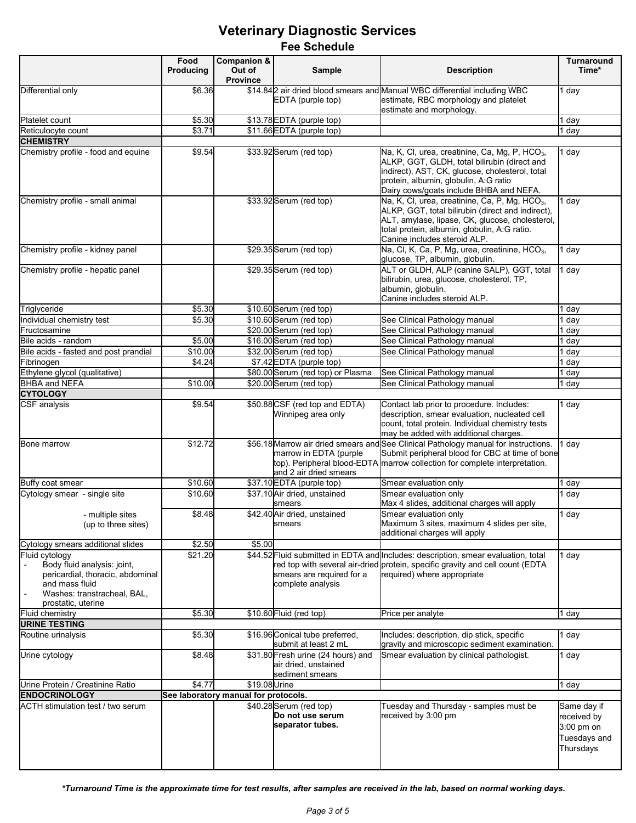|                                                                                                                                                          | Food<br>Producing | Companion &<br>Out of<br><b>Province</b> | Sample                                                                        | <b>Description</b>                                                                                                                                                                                                                                 | Turnaround<br>Time*                                                   |
|----------------------------------------------------------------------------------------------------------------------------------------------------------|-------------------|------------------------------------------|-------------------------------------------------------------------------------|----------------------------------------------------------------------------------------------------------------------------------------------------------------------------------------------------------------------------------------------------|-----------------------------------------------------------------------|
| Differential only                                                                                                                                        | \$6.36            |                                          | EDTA (purple top)                                                             | \$14.842 air dried blood smears and Manual WBC differential including WBC<br>estimate, RBC morphology and platelet<br>estimate and morphology.                                                                                                     | 1 day                                                                 |
| Platelet count                                                                                                                                           | \$5.30            |                                          | \$13.78 EDTA (purple top)                                                     |                                                                                                                                                                                                                                                    | day                                                                   |
| Reticulocyte count                                                                                                                                       | \$3.71            |                                          | \$11.66 EDTA (purple top)                                                     |                                                                                                                                                                                                                                                    | day                                                                   |
| <b>CHEMISTRY</b>                                                                                                                                         |                   |                                          |                                                                               |                                                                                                                                                                                                                                                    |                                                                       |
| Chemistry profile - food and equine                                                                                                                      | \$9.54            |                                          | \$33.92 Serum (red top)                                                       | Na, K, Cl, urea, creatinine, Ca, Mg, P, HCO <sub>3</sub> ,<br>ALKP, GGT, GLDH, total bilirubin (direct and<br>indirect), AST, CK, glucose, cholesterol, total<br>protein, albumin, globulin, A:G ratio<br>Dairy cows/goats include BHBA and NEFA.  | day                                                                   |
| Chemistry profile - small animal                                                                                                                         |                   |                                          | \$33.92 Serum (red top)                                                       | Na, K, Cl, urea, creatinine, Ca, P, Mg, HCO <sub>3</sub> ,<br>ALKP, GGT, total bilirubin (direct and indirect),<br>ALT, amylase, lipase, CK, glucose, cholesterol,<br>total protein, albumin, globulin, A:G ratio.<br>Canine includes steroid ALP. | day                                                                   |
| Chemistry profile - kidney panel                                                                                                                         |                   |                                          | \$29.35 Serum (red top)                                                       | Na, Cl, K, Ca, P, Mg, urea, creatinine, HCO <sub>3</sub> ,<br>glucose, TP, albumin, globulin.                                                                                                                                                      | day                                                                   |
| Chemistry profile - hepatic panel                                                                                                                        |                   |                                          | \$29.35 Serum (red top)                                                       | ALT or GLDH, ALP (canine SALP), GGT, total<br>bilirubin, urea, glucose, cholesterol, TP,<br>albumin, globulin.<br>Canine includes steroid ALP.                                                                                                     | day                                                                   |
| Triglyceride                                                                                                                                             | \$5.30            |                                          | \$10.60 Serum (red top)                                                       |                                                                                                                                                                                                                                                    | day                                                                   |
| Individual chemistry test                                                                                                                                | \$5.30            |                                          | \$10.60 Serum (red top)                                                       | See Clinical Pathology manual                                                                                                                                                                                                                      | day                                                                   |
| Fructosamine                                                                                                                                             |                   |                                          | \$20.00 Serum (red top)                                                       | See Clinical Pathology manual                                                                                                                                                                                                                      | day                                                                   |
| Bile acids - random                                                                                                                                      | \$5.00            |                                          | \$16.00 Serum (red top)                                                       | See Clinical Pathology manual                                                                                                                                                                                                                      | day                                                                   |
| Bile acids - fasted and post prandial                                                                                                                    | \$10.00           |                                          | \$32.00 Serum (red top)                                                       | See Clinical Pathology manual                                                                                                                                                                                                                      | ∣ day                                                                 |
| Fibrinogen                                                                                                                                               | \$4.24            |                                          | \$7.42 EDTA (purple top)                                                      |                                                                                                                                                                                                                                                    | day                                                                   |
| Ethylene glycol (qualitative)                                                                                                                            |                   |                                          | \$80.00 Serum (red top) or Plasma                                             | See Clinical Pathology manual                                                                                                                                                                                                                      | day                                                                   |
| BHBA and NEFA                                                                                                                                            | \$10.00           |                                          | \$20.00 Serum (red top)                                                       | See Clinical Pathology manual                                                                                                                                                                                                                      | day                                                                   |
| <b>CYTOLOGY</b>                                                                                                                                          |                   |                                          |                                                                               |                                                                                                                                                                                                                                                    |                                                                       |
| <b>CSF</b> analysis                                                                                                                                      | \$9.54            |                                          | \$50.88 CSF (red top and EDTA)<br>Winnipeg area only                          | Contact lab prior to procedure. Includes:<br>description, smear evaluation, nucleated cell<br>count, total protein. Individual chemistry tests<br>may be added with additional charges.                                                            | l day                                                                 |
| Bone marrow                                                                                                                                              | \$12.72           |                                          | marrow in EDTA (purple<br>and 2 air dried smears                              | \$56.18 Marrow air dried smears and See Clinical Pathology manual for instructions.<br>Submit peripheral blood for CBC at time of bone<br>top). Peripheral blood-EDTA marrow collection for complete interpretation.                               | day                                                                   |
| Buffy coat smear                                                                                                                                         | \$10.60           |                                          | \$37.10 EDTA (purple top)                                                     | Smear evaluation only                                                                                                                                                                                                                              | day                                                                   |
| Cytology smear - single site                                                                                                                             | \$10.60           |                                          | \$37.10 Air dried, unstained<br>smears                                        | Smear evaluation only<br>Max 4 slides, additional charges will apply                                                                                                                                                                               | day                                                                   |
| - multiple sites<br>(up to three sites)                                                                                                                  | \$8.48            |                                          | \$42.40 Air dried, unstained<br>smears                                        | Smear evaluation only<br>Maximum 3 sites, maximum 4 slides per site,<br>additional charges will apply                                                                                                                                              | 1 day                                                                 |
| Cytology smears additional slides                                                                                                                        | \$2.50            | \$5.00                                   |                                                                               |                                                                                                                                                                                                                                                    |                                                                       |
| Fluid cytology<br>Body fluid analysis: joint,<br>pericardial, thoracic, abdominal<br>and mass fluid<br>Washes: transtracheal, BAL,<br>prostatic, uterine | \$21.20           |                                          | smears are required for a<br>complete analysis                                | \$44.52 Fluid submitted in EDTA and Includes: description, smear evaluation, total<br>red top with several air-dried protein, specific gravity and cell count (EDTA<br>required) where appropriate                                                 | day                                                                   |
| <b>Fluid chemistry</b>                                                                                                                                   | \$5.30            |                                          | \$10.60 Fluid (red top)                                                       | Price per analyte                                                                                                                                                                                                                                  | day                                                                   |
| <b>URINE TESTING</b>                                                                                                                                     |                   |                                          |                                                                               |                                                                                                                                                                                                                                                    |                                                                       |
| Routine urinalysis                                                                                                                                       | \$5.30            |                                          | \$16.96 Conical tube preferred,<br>submit at least 2 mL                       | Includes: description, dip stick, specific<br>gravity and microscopic sediment examination.                                                                                                                                                        | day                                                                   |
| Urine cytology                                                                                                                                           | \$8.48            |                                          | \$31.80 Fresh urine (24 hours) and<br>air dried, unstained<br>sediment smears | Smear evaluation by clinical pathologist.                                                                                                                                                                                                          | day                                                                   |
| Urine Protein / Creatinine Ratio                                                                                                                         | \$4.77            | \$19.08 Urine                            |                                                                               |                                                                                                                                                                                                                                                    | 1 day                                                                 |
| <b>ENDOCRINOLOGY</b>                                                                                                                                     |                   | See laboratory manual for protocols.     |                                                                               |                                                                                                                                                                                                                                                    |                                                                       |
| <b>ACTH stimulation test / two serum</b>                                                                                                                 |                   |                                          | \$40.28 Serum (red top)<br>Do not use serum<br>separator tubes.               | Tuesday and Thursday - samples must be<br>received by 3:00 pm                                                                                                                                                                                      | Same day if<br>received by<br>3:00 pm on<br>Tuesdays and<br>Thursdays |

*\*Turnaround Time is the approximate time for test results, after samples are received in the lab, based on normal working days.*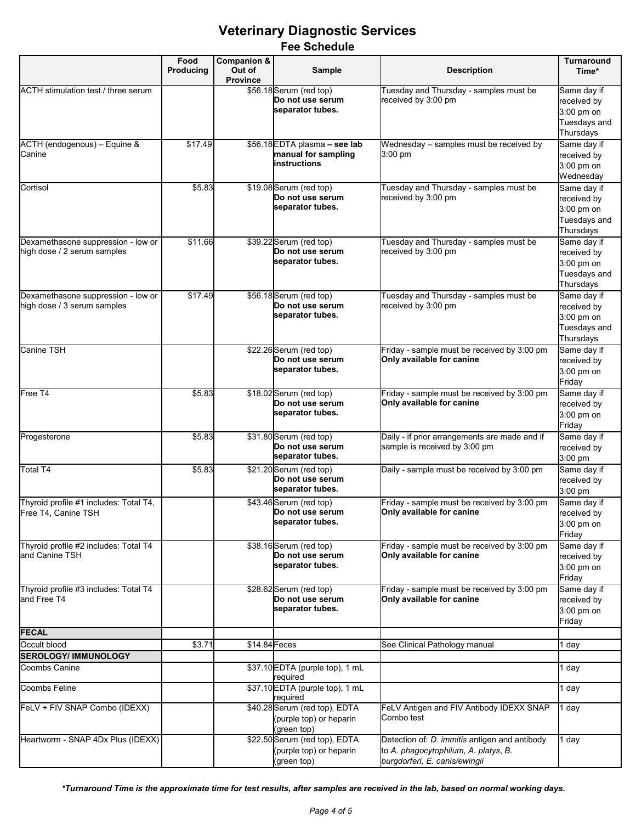|                                                                   | Food<br>Producing | Companion &<br>Out of<br><b>Province</b> | Sample                                                                  | <b>Description</b>                                                                                                     | <b>Turnaround</b><br>Time*                                            |
|-------------------------------------------------------------------|-------------------|------------------------------------------|-------------------------------------------------------------------------|------------------------------------------------------------------------------------------------------------------------|-----------------------------------------------------------------------|
| ACTH stimulation test / three serum                               |                   |                                          | \$56.18 Serum (red top)<br>Do not use serum<br>separator tubes.         | Tuesday and Thursday - samples must be<br>received by 3:00 pm                                                          | Same day if<br>received by<br>3:00 pm on<br>Tuesdays and<br>Thursdays |
| ACTH (endogenous) - Equine &<br>Canine                            | \$17.49           |                                          | \$56.18 EDTA plasma - see lab<br>manual for sampling<br>instructions    | Wednesday – samples must be received by<br>$3:00 \text{ pm}$                                                           | Same day if<br>received by<br>3:00 pm on<br>Wednesday                 |
| Cortisol                                                          | \$5.83            |                                          | \$19.08 Serum (red top)<br>Do not use serum<br>separator tubes.         | Tuesday and Thursday - samples must be<br>received by 3:00 pm                                                          | Same day if<br>received by<br>3:00 pm on<br>Tuesdays and<br>Thursdays |
| Dexamethasone suppression - low or<br>high dose / 2 serum samples | \$11.66           |                                          | \$39.22 Serum (red top)<br>Do not use serum<br>separator tubes.         | Tuesday and Thursday - samples must be<br>received by 3:00 pm                                                          | Same day if<br>received by<br>3:00 pm on<br>Tuesdays and<br>Thursdays |
| Dexamethasone suppression - low or<br>high dose / 3 serum samples | \$17.49           |                                          | \$56.18 Serum (red top)<br>Do not use serum<br>separator tubes.         | Tuesday and Thursday - samples must be<br>received by 3:00 pm                                                          | Same day if<br>received by<br>3:00 pm on<br>Tuesdays and<br>Thursdays |
| <b>Canine TSH</b>                                                 |                   |                                          | \$22.26 Serum (red top)<br>Do not use serum<br>separator tubes.         | Friday - sample must be received by 3:00 pm<br>Only available for canine                                               | Same day if<br>received by<br>3:00 pm on<br>Friday                    |
| Free T4                                                           | \$5.83            |                                          | \$18.02 Serum (red top)<br>Do not use serum<br>separator tubes.         | Friday - sample must be received by 3:00 pm<br>Only available for canine                                               | Same day if<br>received by<br>3:00 pm on<br>Friday                    |
| Progesterone                                                      | \$5.83            |                                          | \$31.80 Serum (red top)<br>Do not use serum<br>separator tubes.         | Daily - if prior arrangements are made and if<br>sample is received by 3:00 pm                                         | Same day if<br>received by<br>3:00 pm                                 |
| Total T4                                                          | \$5.83            |                                          | \$21.20 Serum (red top)<br>Do not use serum<br>separator tubes.         | Daily - sample must be received by 3:00 pm                                                                             | Same day if<br>received by<br>3:00 pm                                 |
| Thyroid profile #1 includes: Total T4,<br>Free T4, Canine TSH     |                   |                                          | \$43.46 Serum (red top)<br>Do not use serum<br>separator tubes.         | Friday - sample must be received by 3:00 pm<br>Only available for canine                                               | Same day if<br>received by<br>3:00 pm on<br>Friday                    |
| Thyroid profile #2 includes: Total T4<br>and Canine TSH           |                   |                                          | \$38.16 Serum (red top)<br>Do not use serum<br>separator tubes.         | Friday - sample must be received by 3:00 pm<br>Only available for canine                                               | Same day if<br>received by<br>3:00 pm on<br>Friday                    |
| Thyroid profile #3 includes: Total T4<br>and Free T4              |                   |                                          | \$28.62 Serum (red top)<br>Do not use serum<br>separator tubes.         | Friday - sample must be received by 3:00 pm<br>Only available for canine                                               | Same day if<br>received by<br>3:00 pm on<br>Friday                    |
| <b>FECAL</b>                                                      |                   |                                          |                                                                         |                                                                                                                        |                                                                       |
| Occult blood<br><b>SEROLOGY/ IMMUNOLOGY</b>                       | \$3.71            | \$14.84 Feces                            |                                                                         | See Clinical Pathology manual                                                                                          | l day                                                                 |
| Coombs Canine                                                     |                   |                                          | \$37.10 EDTA (purple top), 1 mL                                         |                                                                                                                        | day                                                                   |
| <b>Coombs Feline</b>                                              |                   |                                          | required<br>\$37.10 EDTA (purple top), 1 mL<br>required                 |                                                                                                                        | l day                                                                 |
| FeLV + FIV SNAP Combo (IDEXX)                                     |                   |                                          | \$40.28 Serum (red top), EDTA<br>(purple top) or heparin<br>(green top) | FeLV Antigen and FIV Antibody IDEXX SNAP<br>Combo test                                                                 | day                                                                   |
| Heartworm - SNAP 4Dx Plus (IDEXX)                                 |                   |                                          | \$22.50 Serum (red top), EDTA<br>(purple top) or heparin<br>(green top) | Detection of: D. immitis antigen and antibody<br>to A. phagocytophilum, A. platys, B.<br>burgdorferi, E. canis/ewingii | 1 day                                                                 |

*\*Turnaround Time is the approximate time for test results, after samples are received in the lab, based on normal working days.*